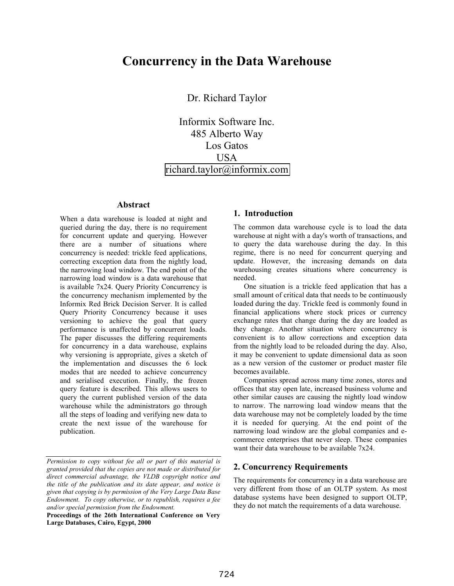# **Concurrency in the Data Warehouse**

Dr. Richard Taylor

Informix Software Inc. 485 Alberto Way Los Gatos **USA** [richard.taylor@informix.com](mailto:Email@small.medium.large) 

#### **Abstract**

When a data warehouse is loaded at night and queried during the day, there is no requirement for concurrent update and querying. However there are a number of situations where concurrency is needed: trickle feed applications, correcting exception data from the nightly load, the narrowing load window. The end point of the narrowing load window is a data warehouse that is available 7x24. Query Priority Concurrency is the concurrency mechanism implemented by the Informix Red Brick Decision Server. It is called Query Priority Concurrency because it uses versioning to achieve the goal that query performance is unaffected by concurrent loads. The paper discusses the differing requirements for concurrency in a data warehouse, explains why versioning is appropriate, gives a sketch of the implementation and discusses the 6 lock modes that are needed to achieve concurrency and serialised execution. Finally, the frozen query feature is described. This allows users to query the current published version of the data warehouse while the administrators go through all the steps of loading and verifying new data to create the next issue of the warehouse for publication.

**Proceedings of the 26th International Conference on Very Large Databases, Cairo, Egypt, 2000** 

#### **1. Introduction**

The common data warehouse cycle is to load the data warehouse at night with a day's worth of transactions, and to query the data warehouse during the day. In this regime, there is no need for concurrent querying and update. However, the increasing demands on data warehousing creates situations where concurrency is needed.

One situation is a trickle feed application that has a small amount of critical data that needs to be continuously loaded during the day. Trickle feed is commonly found in financial applications where stock prices or currency exchange rates that change during the day are loaded as they change. Another situation where concurrency is convenient is to allow corrections and exception data from the nightly load to be reloaded during the day. Also, it may be convenient to update dimensional data as soon as a new version of the customer or product master file becomes available.

Companies spread across many time zones, stores and offices that stay open late, increased business volume and other similar causes are causing the nightly load window to narrow. The narrowing load window means that the data warehouse may not be completely loaded by the time it is needed for querying. At the end point of the narrowing load window are the global companies and ecommerce enterprises that never sleep. These companies want their data warehouse to be available 7x24.

### **2. Concurrency Requirements**

The requirements for concurrency in a data warehouse are very different from those of an OLTP system. As most database systems have been designed to support OLTP, they do not match the requirements of a data warehouse.

*Permission to copy without fee all or part of this material is granted provided that the copies are not made or distributed for direct commercial advantage, the VLDB copyright notice and the title of the publication and its date appear, and notice is given that copying is by permission of the Very Large Data Base Endowment. To copy otherwise, or to republish, requires a fee and/or special permission from the Endowment.*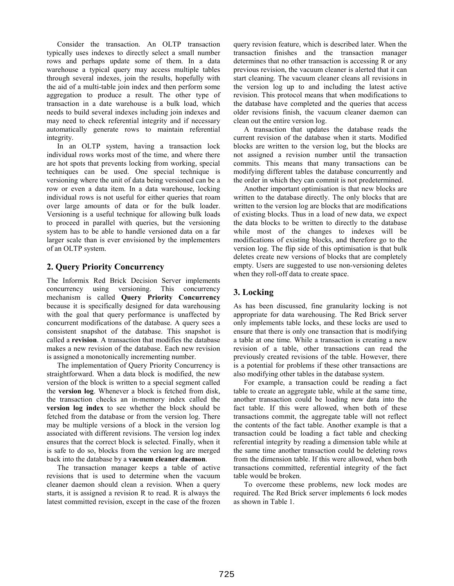Consider the transaction. An OLTP transaction typically uses indexes to directly select a small number rows and perhaps update some of them. In a data warehouse a typical query may access multiple tables through several indexes, join the results, hopefully with the aid of a multi-table join index and then perform some aggregation to produce a result. The other type of transaction in a date warehouse is a bulk load, which needs to build several indexes including join indexes and may need to check referential integrity and if necessary automatically generate rows to maintain referential integrity.

In an OLTP system, having a transaction lock individual rows works most of the time, and where there are hot spots that prevents locking from working, special techniques can be used. One special technique is versioning where the unit of data being versioned can be a row or even a data item. In a data warehouse, locking individual rows is not useful for either queries that roam over large amounts of data or for the bulk loader. Versioning is a useful technique for allowing bulk loads to proceed in parallel with queries, but the versioning system has to be able to handle versioned data on a far larger scale than is ever envisioned by the implementers of an OLTP system.

### **2. Query Priority Concurrency**

The Informix Red Brick Decision Server implements concurrency using versioning. This concurrency mechanism is called **Query Priority Concurrency** because it is specifically designed for data warehousing with the goal that query performance is unaffected by concurrent modifications of the database. A query sees a consistent snapshot of the database. This snapshot is called a **revision**. A transaction that modifies the database makes a new revision of the database. Each new revision is assigned a monotonically incrementing number.

The implementation of Query Priority Concurrency is straightforward. When a data block is modified, the new version of the block is written to a special segment called the **version log**. Whenever a block is fetched from disk, the transaction checks an in-memory index called the **version log index** to see whether the block should be fetched from the database or from the version log. There may be multiple versions of a block in the version log associated with different revisions. The version log index ensures that the correct block is selected. Finally, when it is safe to do so, blocks from the version log are merged back into the database by a **vacuum cleaner daemon**.

The transaction manager keeps a table of active revisions that is used to determine when the vacuum cleaner daemon should clean a revision. When a query starts, it is assigned a revision R to read. R is always the latest committed revision, except in the case of the frozen query revision feature, which is described later. When the transaction finishes and the transaction manager determines that no other transaction is accessing R or any previous revision, the vacuum cleaner is alerted that it can start cleaning. The vacuum cleaner cleans all revisions in the version log up to and including the latest active revision. This protocol means that when modifications to the database have completed and the queries that access older revisions finish, the vacuum cleaner daemon can clean out the entire version log.

A transaction that updates the database reads the current revision of the database when it starts. Modified blocks are written to the version log, but the blocks are not assigned a revision number until the transaction commits. This means that many transactions can be modifying different tables the database concurrently and the order in which they can commit is not predetermined.

Another important optimisation is that new blocks are written to the database directly. The only blocks that are written to the version log are blocks that are modifications of existing blocks. Thus in a load of new data, we expect the data blocks to be written to directly to the database while most of the changes to indexes will be modifications of existing blocks, and therefore go to the version log. The flip side of this optimisation is that bulk deletes create new versions of blocks that are completely empty. Users are suggested to use non-versioning deletes when they roll-off data to create space.

## **3. Locking**

As has been discussed, fine granularity locking is not appropriate for data warehousing. The Red Brick server only implements table locks, and these locks are used to ensure that there is only one transaction that is modifying a table at one time. While a transaction is creating a new revision of a table, other transactions can read the previously created revisions of the table. However, there is a potential for problems if these other transactions are also modifying other tables in the database system.

For example, a transaction could be reading a fact table to create an aggregate table, while at the same time, another transaction could be loading new data into the fact table. If this were allowed, when both of these transactions commit, the aggregate table will not reflect the contents of the fact table. Another example is that a transaction could be loading a fact table and checking referential integrity by reading a dimension table while at the same time another transaction could be deleting rows from the dimension table. If this were allowed, when both transactions committed, referential integrity of the fact table would be broken.

To overcome these problems, new lock modes are required. The Red Brick server implements 6 lock modes as shown in Table 1.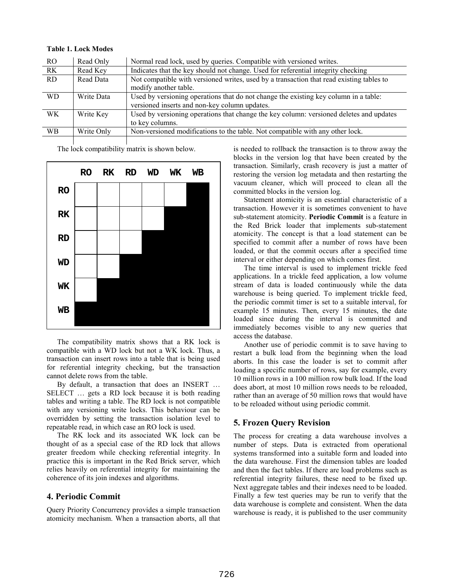| RO        | Read Only  | Normal read lock, used by queries. Compatible with versioned writes.                     |
|-----------|------------|------------------------------------------------------------------------------------------|
| RK        | Read Key   | Indicates that the key should not change. Used for referential integrity checking        |
| RD        | Read Data  | Not compatible with versioned writes, used by a transaction that read existing tables to |
|           |            | modify another table.                                                                    |
| <b>WD</b> | Write Data | Used by versioning operations that do not change the existing key column in a table:     |
|           |            | versioned inserts and non-key column updates.                                            |
| WK        | Write Key  | Used by versioning operations that change the key column: versioned deletes and updates  |
|           |            | to key columns.                                                                          |
| WB        | Write Only | Non-versioned modifications to the table. Not compatible with any other lock.            |

#### **Table 1. Lock Modes**

The lock compatibility matrix is shown below.



The compatibility matrix shows that a RK lock is compatible with a WD lock but not a WK lock. Thus, a transaction can insert rows into a table that is being used for referential integrity checking, but the transaction cannot delete rows from the table.

By default, a transaction that does an INSERT ... SELECT ... gets a RD lock because it is both reading tables and writing a table. The RD lock is not compatible with any versioning write locks. This behaviour can be overridden by setting the transaction isolation level to repeatable read, in which case an RO lock is used.

The RK lock and its associated WK lock can be thought of as a special case of the RD lock that allows greater freedom while checking referential integrity. In practice this is important in the Red Brick server, which relies heavily on referential integrity for maintaining the coherence of its join indexes and algorithms.

### **4. Periodic Commit**

Query Priority Concurrency provides a simple transaction atomicity mechanism. When a transaction aborts, all that is needed to rollback the transaction is to throw away the blocks in the version log that have been created by the transaction. Similarly, crash recovery is just a matter of restoring the version log metadata and then restarting the vacuum cleaner, which will proceed to clean all the committed blocks in the version log.

Statement atomicity is an essential characteristic of a transaction. However it is sometimes convenient to have sub-statement atomicity. **Periodic Commit** is a feature in the Red Brick loader that implements sub-statement atomicity. The concept is that a load statement can be specified to commit after a number of rows have been loaded, or that the commit occurs after a specified time interval or either depending on which comes first.

The time interval is used to implement trickle feed applications. In a trickle feed application, a low volume stream of data is loaded continuously while the data warehouse is being queried. To implement trickle feed, the periodic commit timer is set to a suitable interval, for example 15 minutes. Then, every 15 minutes, the date loaded since during the interval is committed and immediately becomes visible to any new queries that access the database.

Another use of periodic commit is to save having to restart a bulk load from the beginning when the load aborts. In this case the loader is set to commit after loading a specific number of rows, say for example, every 10 million rows in a 100 million row bulk load. If the load does abort, at most 10 million rows needs to be reloaded, rather than an average of 50 million rows that would have to be reloaded without using periodic commit.

### **5. Frozen Query Revision**

The process for creating a data warehouse involves a number of steps. Data is extracted from operational systems transformed into a suitable form and loaded into the data warehouse. First the dimension tables are loaded and then the fact tables. If there are load problems such as referential integrity failures, these need to be fixed up. Next aggregate tables and their indexes need to be loaded. Finally a few test queries may be run to verify that the data warehouse is complete and consistent. When the data warehouse is ready, it is published to the user community